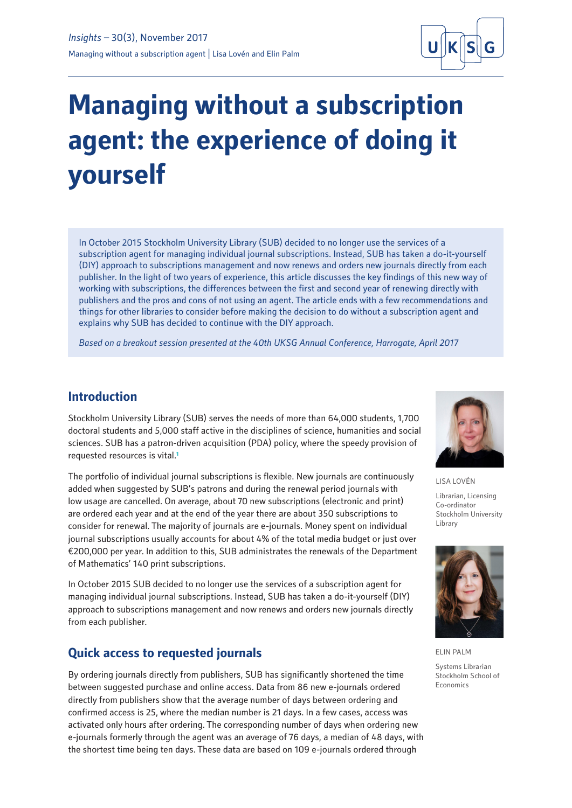

# **Managing without a subscription agent: the experience of doing it yourself**

In October 2015 Stockholm University Library (SUB) decided to no longer use the services of a subscription agent for managing individual journal subscriptions. Instead, SUB has taken a do-it-yourself (DIY) approach to subscriptions management and now renews and orders new journals directly from each publisher. In the light of two years of experience, this article discusses the key findings of this new way of working with subscriptions, the differences between the first and second year of renewing directly with publishers and the pros and cons of not using an agent. The article ends with a few recommendations and things for other libraries to consider before making the decision to do without a subscription agent and explains why SUB has decided to continue with the DIY approach.

*Based on a breakout session presented at the 40th UKSG Annual Conference, Harrogate, April 2017*

#### **Introduction**

Stockholm University Library (SUB) serves the needs of more than 64,000 students, 1,700 doctoral students and 5,000 staff active in the disciplines of science, humanities and social sciences. SUB has a patron-driven acquisition (PDA) policy, where the speedy provision of requested resources is vital.**<sup>1</sup>**

The portfolio of individual journal subscriptions is flexible. New journals are continuously added when suggested by SUB's patrons and during the renewal period journals with low usage are cancelled. On average, about 70 new subscriptions (electronic and print) are ordered each year and at the end of the year there are about 350 subscriptions to consider for renewal. The majority of journals are e-journals. Money spent on individual journal subscriptions usually accounts for about 4% of the total media budget or just over €200,000 per year. In addition to this, SUB administrates the renewals of the Department of Mathematics' 140 print subscriptions.

In October 2015 SUB decided to no longer use the services of a subscription agent for managing individual journal subscriptions. Instead, SUB has taken a do-it-yourself (DIY) approach to subscriptions management and now renews and orders new journals directly from each publisher.

## **Quick access to requested journals**

By ordering journals directly from publishers, SUB has significantly shortened the time between suggested purchase and online access. Data from 86 new e-journals ordered directly from publishers show that the average number of days between ordering and confirmed access is 25, where the median number is 21 days. In a few cases, access was activated only hours after ordering. The corresponding number of days when ordering new e-journals formerly through the agent was an average of 76 days, a median of 48 days, with the shortest time being ten days. These data are based on 109 e-journals ordered through



LISA LOVÉN Librarian, Licensing Co-ordinator Stockholm University

Library



ELIN PALM Systems Librarian Stockholm School of Economics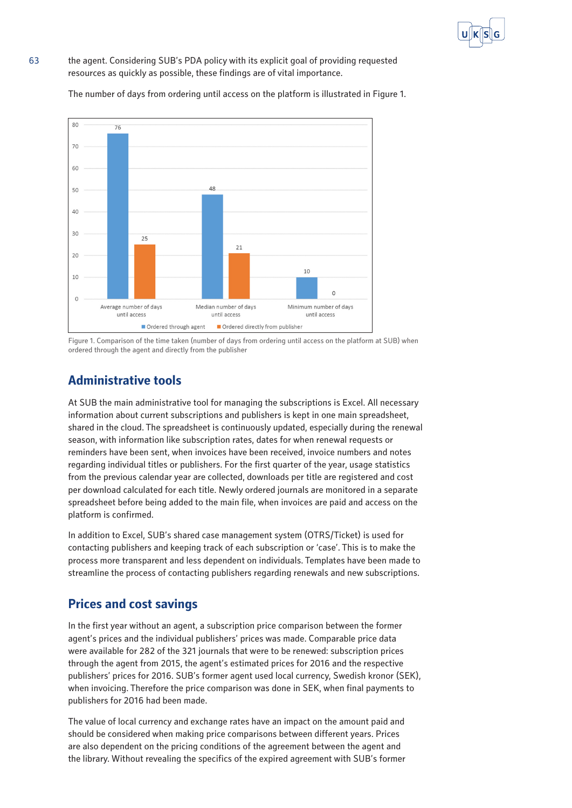

63 the agent. Considering SUB's PDA policy with its explicit goal of providing requested resources as quickly as possible, these findings are of vital importance.

The number of days from ordering until access on the platform is illustrated in Figure 1.



Figure 1. Comparison of the time taken (number of days from ordering until access on the platform at SUB) when ordered through the agent and directly from the publisher

# **Administrative tools**

At SUB the main administrative tool for managing the subscriptions is Excel. All necessary information about current subscriptions and publishers is kept in one main spreadsheet, shared in the cloud. The spreadsheet is continuously updated, especially during the renewal season, with information like subscription rates, dates for when renewal requests or reminders have been sent, when invoices have been received, invoice numbers and notes regarding individual titles or publishers. For the first quarter of the year, usage statistics from the previous calendar year are collected, downloads per title are registered and cost per download calculated for each title. Newly ordered journals are monitored in a separate spreadsheet before being added to the main file, when invoices are paid and access on the platform is confirmed.

In addition to Excel, SUB's shared case management system (OTRS/Ticket) is used for contacting publishers and keeping track of each subscription or 'case'. This is to make the process more transparent and less dependent on individuals. Templates have been made to streamline the process of contacting publishers regarding renewals and new subscriptions.

# **Prices and cost savings**

In the first year without an agent, a subscription price comparison between the former agent's prices and the individual publishers' prices was made. Comparable price data were available for 282 of the 321 journals that were to be renewed: subscription prices through the agent from 2015, the agent's estimated prices for 2016 and the respective publishers' prices for 2016. SUB's former agent used local currency, Swedish kronor (SEK), when invoicing. Therefore the price comparison was done in SEK, when final payments to publishers for 2016 had been made.

The value of local currency and exchange rates have an impact on the amount paid and should be considered when making price comparisons between different years. Prices are also dependent on the pricing conditions of the agreement between the agent and the library. Without revealing the specifics of the expired agreement with SUB's former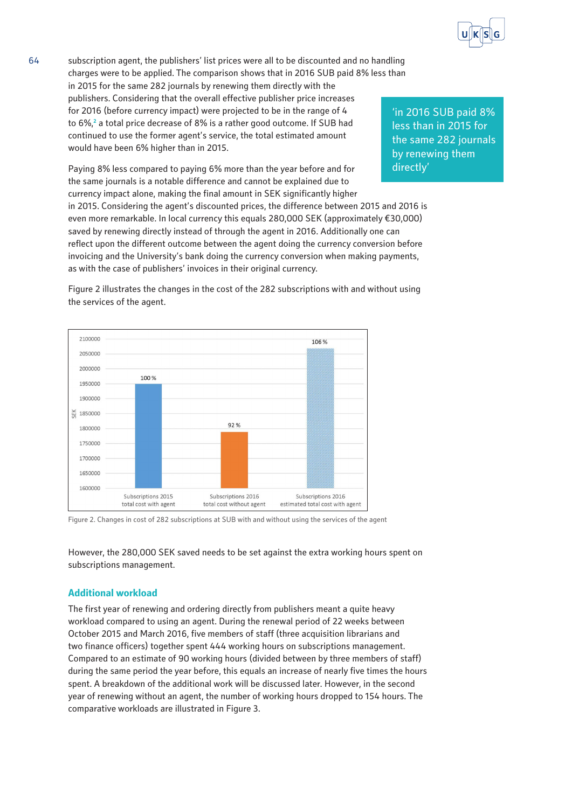

64 subscription agent, the publishers' list prices were all to be discounted and no handling charges were to be applied. The comparison shows that in 2016 SUB paid 8% less than in 2015 for the same 282 journals by renewing them directly with the publishers. Considering that the overall effective publisher price increases for 2016 (before currency impact) were projected to be in the range of 4 to 6%,**<sup>2</sup>** a total price decrease of 8% is a rather good outcome. If SUB had continued to use the former agent's service, the total estimated amount would have been 6% higher than in 2015.

> Paying 8% less compared to paying 6% more than the year before and for the same journals is a notable difference and cannot be explained due to currency impact alone, making the final amount in SEK significantly higher in 2015. Considering the agent's discounted prices, the difference between 2015 and 2016 is even more remarkable. In local currency this equals 280,000 SEK (approximately €30,000) saved by renewing directly instead of through the agent in 2016. Additionally one can reflect upon the different outcome between the agent doing the currency conversion before invoicing and the University's bank doing the currency conversion when making payments, as with the case of publishers' invoices in their original currency.

> Figure 2 illustrates the changes in the cost of the 282 subscriptions with and without using the services of the agent.



Figure 2. Changes in cost of 282 subscriptions at SUB with and without using the services of the agent

However, the 280,000 SEK saved needs to be set against the extra working hours spent on subscriptions management.

#### **Additional workload**

The first year of renewing and ordering directly from publishers meant a quite heavy workload compared to using an agent. During the renewal period of 22 weeks between October 2015 and March 2016, five members of staff (three acquisition librarians and two finance officers) together spent 444 working hours on subscriptions management. Compared to an estimate of 90 working hours (divided between by three members of staff) during the same period the year before, this equals an increase of nearly five times the hours spent. A breakdown of the additional work will be discussed later. However, in the second year of renewing without an agent, the number of working hours dropped to 154 hours. The comparative workloads are illustrated in Figure 3.

'in 2016 SUB paid 8% less than in 2015 for the same 282 journals by renewing them directly'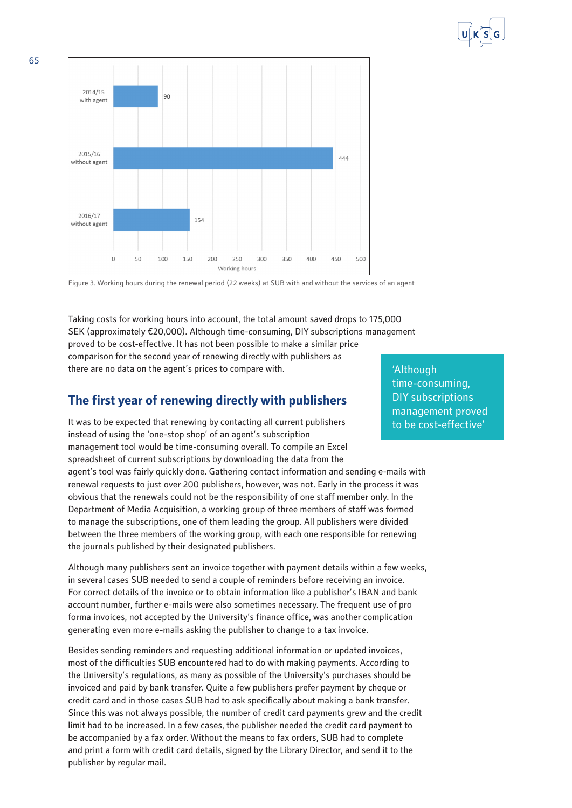



Figure 3. Working hours during the renewal period (22 weeks) at SUB with and without the services of an agent

Taking costs for working hours into account, the total amount saved drops to 175,000 SEK (approximately €20,000). Although time-consuming, DIY subscriptions management proved to be cost-effective. It has not been possible to make a similar price comparison for the second year of renewing directly with publishers as there are no data on the agent's prices to compare with.

## **The first year of renewing directly with publishers**

It was to be expected that renewing by contacting all current publishers instead of using the 'one-stop shop' of an agent's subscription management tool would be time-consuming overall. To compile an Excel spreadsheet of current subscriptions by downloading the data from the agent's tool was fairly quickly done. Gathering contact information and sending e-mails with renewal requests to just over 200 publishers, however, was not. Early in the process it was obvious that the renewals could not be the responsibility of one staff member only. In the Department of Media Acquisition, a working group of three members of staff was formed to manage the subscriptions, one of them leading the group. All publishers were divided between the three members of the working group, with each one responsible for renewing the journals published by their designated publishers.

Although many publishers sent an invoice together with payment details within a few weeks, in several cases SUB needed to send a couple of reminders before receiving an invoice. For correct details of the invoice or to obtain information like a publisher's IBAN and bank account number, further e-mails were also sometimes necessary. The frequent use of pro forma invoices, not accepted by the University's finance office, was another complication generating even more e-mails asking the publisher to change to a tax invoice.

Besides sending reminders and requesting additional information or updated invoices, most of the difficulties SUB encountered had to do with making payments. According to the University's regulations, as many as possible of the University's purchases should be invoiced and paid by bank transfer. Quite a few publishers prefer payment by cheque or credit card and in those cases SUB had to ask specifically about making a bank transfer. Since this was not always possible, the number of credit card payments grew and the credit limit had to be increased. In a few cases, the publisher needed the credit card payment to be accompanied by a fax order. Without the means to fax orders, SUB had to complete and print a form with credit card details, signed by the Library Director, and send it to the publisher by regular mail.

'Although time-consuming, DIY subscriptions management proved to be cost-effective'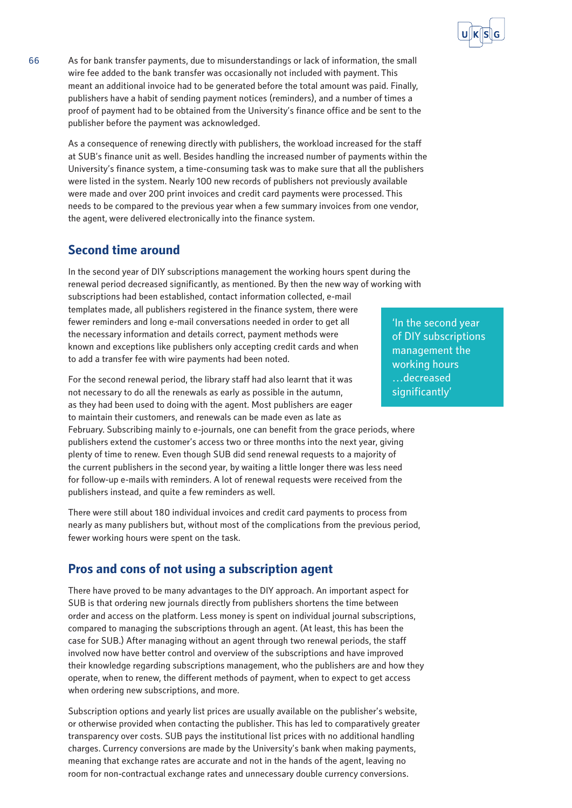

66 As for bank transfer payments, due to misunderstandings or lack of information, the small wire fee added to the bank transfer was occasionally not included with payment. This meant an additional invoice had to be generated before the total amount was paid. Finally, publishers have a habit of sending payment notices (reminders), and a number of times a proof of payment had to be obtained from the University's finance office and be sent to the publisher before the payment was acknowledged.

As a consequence of renewing directly with publishers, the workload increased for the staff at SUB's finance unit as well. Besides handling the increased number of payments within the University's finance system, a time-consuming task was to make sure that all the publishers were listed in the system. Nearly 100 new records of publishers not previously available were made and over 200 print invoices and credit card payments were processed. This needs to be compared to the previous year when a few summary invoices from one vendor, the agent, were delivered electronically into the finance system.

# **Second time around**

In the second year of DIY subscriptions management the working hours spent during the renewal period decreased significantly, as mentioned. By then the new way of working with subscriptions had been established, contact information collected, e-mail templates made, all publishers registered in the finance system, there were fewer reminders and long e-mail conversations needed in order to get all the necessary information and details correct, payment methods were known and exceptions like publishers only accepting credit cards and when to add a transfer fee with wire payments had been noted.

For the second renewal period, the library staff had also learnt that it was not necessary to do all the renewals as early as possible in the autumn, as they had been used to doing with the agent. Most publishers are eager to maintain their customers, and renewals can be made even as late as

February. Subscribing mainly to e-journals, one can benefit from the grace periods, where publishers extend the customer's access two or three months into the next year, giving plenty of time to renew. Even though SUB did send renewal requests to a majority of the current publishers in the second year, by waiting a little longer there was less need for follow-up e-mails with reminders. A lot of renewal requests were received from the publishers instead, and quite a few reminders as well.

There were still about 180 individual invoices and credit card payments to process from nearly as many publishers but, without most of the complications from the previous period, fewer working hours were spent on the task.

# **Pros and cons of not using a subscription agent**

There have proved to be many advantages to the DIY approach. An important aspect for SUB is that ordering new journals directly from publishers shortens the time between order and access on the platform. Less money is spent on individual journal subscriptions, compared to managing the subscriptions through an agent. (At least, this has been the case for SUB.) After managing without an agent through two renewal periods, the staff involved now have better control and overview of the subscriptions and have improved their knowledge regarding subscriptions management, who the publishers are and how they operate, when to renew, the different methods of payment, when to expect to get access when ordering new subscriptions, and more.

Subscription options and yearly list prices are usually available on the publisher's website, or otherwise provided when contacting the publisher. This has led to comparatively greater transparency over costs. SUB pays the institutional list prices with no additional handling charges. Currency conversions are made by the University's bank when making payments, meaning that exchange rates are accurate and not in the hands of the agent, leaving no room for non-contractual exchange rates and unnecessary double currency conversions.

'In the second year of DIY subscriptions management the working hours …decreased significantly'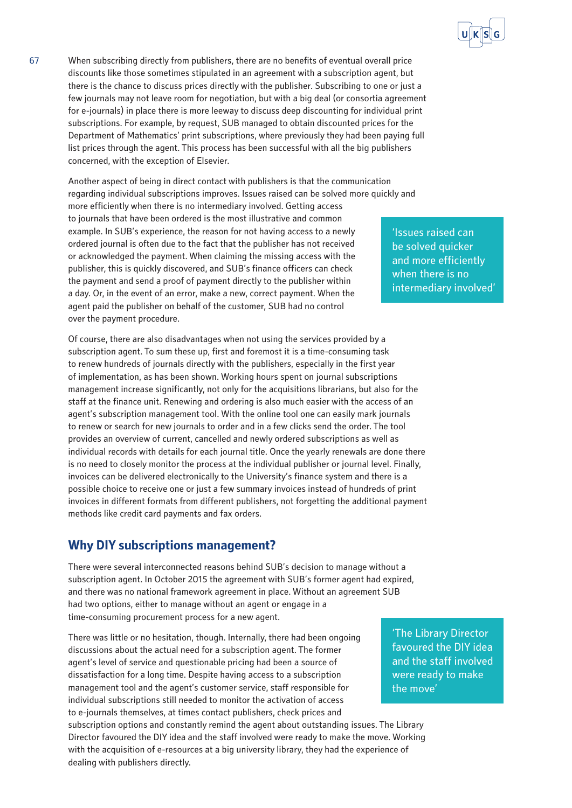

67 When subscribing directly from publishers, there are no benefits of eventual overall price discounts like those sometimes stipulated in an agreement with a subscription agent, but there is the chance to discuss prices directly with the publisher. Subscribing to one or just a few journals may not leave room for negotiation, but with a big deal (or consortia agreement for e-journals) in place there is more leeway to discuss deep discounting for individual print subscriptions. For example, by request, SUB managed to obtain discounted prices for the Department of Mathematics' print subscriptions, where previously they had been paying full list prices through the agent. This process has been successful with all the big publishers concerned, with the exception of Elsevier.

Another aspect of being in direct contact with publishers is that the communication regarding individual subscriptions improves. Issues raised can be solved more quickly and more efficiently when there is no intermediary involved. Getting access to journals that have been ordered is the most illustrative and common example. In SUB's experience, the reason for not having access to a newly ordered journal is often due to the fact that the publisher has not received or acknowledged the payment. When claiming the missing access with the publisher, this is quickly discovered, and SUB's finance officers can check the payment and send a proof of payment directly to the publisher within a day. Or, in the event of an error, make a new, correct payment. When the agent paid the publisher on behalf of the customer, SUB had no control over the payment procedure.

Of course, there are also disadvantages when not using the services provided by a subscription agent. To sum these up, first and foremost it is a time-consuming task to renew hundreds of journals directly with the publishers, especially in the first year of implementation, as has been shown. Working hours spent on journal subscriptions management increase significantly, not only for the acquisitions librarians, but also for the staff at the finance unit. Renewing and ordering is also much easier with the access of an agent's subscription management tool. With the online tool one can easily mark journals to renew or search for new journals to order and in a few clicks send the order. The tool provides an overview of current, cancelled and newly ordered subscriptions as well as individual records with details for each journal title. Once the yearly renewals are done there is no need to closely monitor the process at the individual publisher or journal level. Finally, invoices can be delivered electronically to the University's finance system and there is a possible choice to receive one or just a few summary invoices instead of hundreds of print invoices in different formats from different publishers, not forgetting the additional payment methods like credit card payments and fax orders.

## **Why DIY subscriptions management?**

There were several interconnected reasons behind SUB's decision to manage without a subscription agent. In October 2015 the agreement with SUB's former agent had expired, and there was no national framework agreement in place. Without an agreement SUB had two options, either to manage without an agent or engage in a time-consuming procurement process for a new agent.

There was little or no hesitation, though. Internally, there had been ongoing discussions about the actual need for a subscription agent. The former agent's level of service and questionable pricing had been a source of dissatisfaction for a long time. Despite having access to a subscription management tool and the agent's customer service, staff responsible for individual subscriptions still needed to monitor the activation of access to e-journals themselves, at times contact publishers, check prices and

subscription options and constantly remind the agent about outstanding issues. The Library Director favoured the DIY idea and the staff involved were ready to make the move. Working with the acquisition of e-resources at a big university library, they had the experience of dealing with publishers directly.

'Issues raised can be solved quicker and more efficiently when there is no intermediary involved'

'The Library Director favoured the DIY idea and the staff involved were ready to make the move'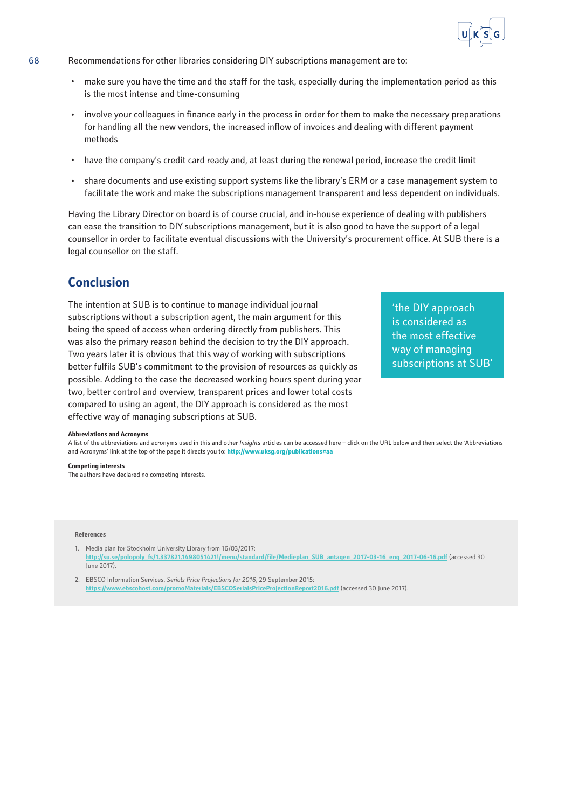

- 68 Recommendations for other libraries considering DIY subscriptions management are to:
	- · make sure you have the time and the staff for the task, especially during the implementation period as this is the most intense and time-consuming
	- · involve your colleagues in finance early in the process in order for them to make the necessary preparations for handling all the new vendors, the increased inflow of invoices and dealing with different payment methods
	- · have the company's credit card ready and, at least during the renewal period, increase the credit limit
	- · share documents and use existing support systems like the library's ERM or a case management system to facilitate the work and make the subscriptions management transparent and less dependent on individuals.

Having the Library Director on board is of course crucial, and in-house experience of dealing with publishers can ease the transition to DIY subscriptions management, but it is also good to have the support of a legal counsellor in order to facilitate eventual discussions with the University's procurement office. At SUB there is a legal counsellor on the staff.

## **Conclusion**

The intention at SUB is to continue to manage individual journal subscriptions without a subscription agent, the main argument for this being the speed of access when ordering directly from publishers. This was also the primary reason behind the decision to try the DIY approach. Two years later it is obvious that this way of working with subscriptions better fulfils SUB's commitment to the provision of resources as quickly as possible. Adding to the case the decreased working hours spent during year two, better control and overview, transparent prices and lower total costs compared to using an agent, the DIY approach is considered as the most effective way of managing subscriptions at SUB.

'the DIY approach is considered as the most effective way of managing subscriptions at SUB'

#### **Abbreviations and Acronyms**

A list of the abbreviations and acronyms used in this and other *Insight*s articles can be accessed here – click on the URL below and then select the 'Abbreviations and Acronyms' link at the top of the page it directs you to: **<http://www.uksg.org/publications#aa>**

#### **Competing interests**

The authors have declared no competing interests.

#### **References**

1. Media plan for Stockholm University Library from 16/03/2017: **[http://su.se/polopoly\\_fs/1.337821.1498051421!/menu/standard/file/Medieplan\\_SUB\\_antagen\\_2017-03-16\\_eng\\_2017-06-16.pdf](http://su.se/polopoly_fs/1.337821.1498051421!/menu/standard/file/Medieplan_SUB_antagen_2017-03-16_eng_2017-06-16.pdf)** (accessed 30 June 2017).

2. EBSCO Information Services, *Serials Price Projections for 2016*, 29 September 2015: **<https://www.ebscohost.com/promoMaterials/EBSCOSerialsPriceProjectionReport2016.pdf>** (accessed 30 June 2017).